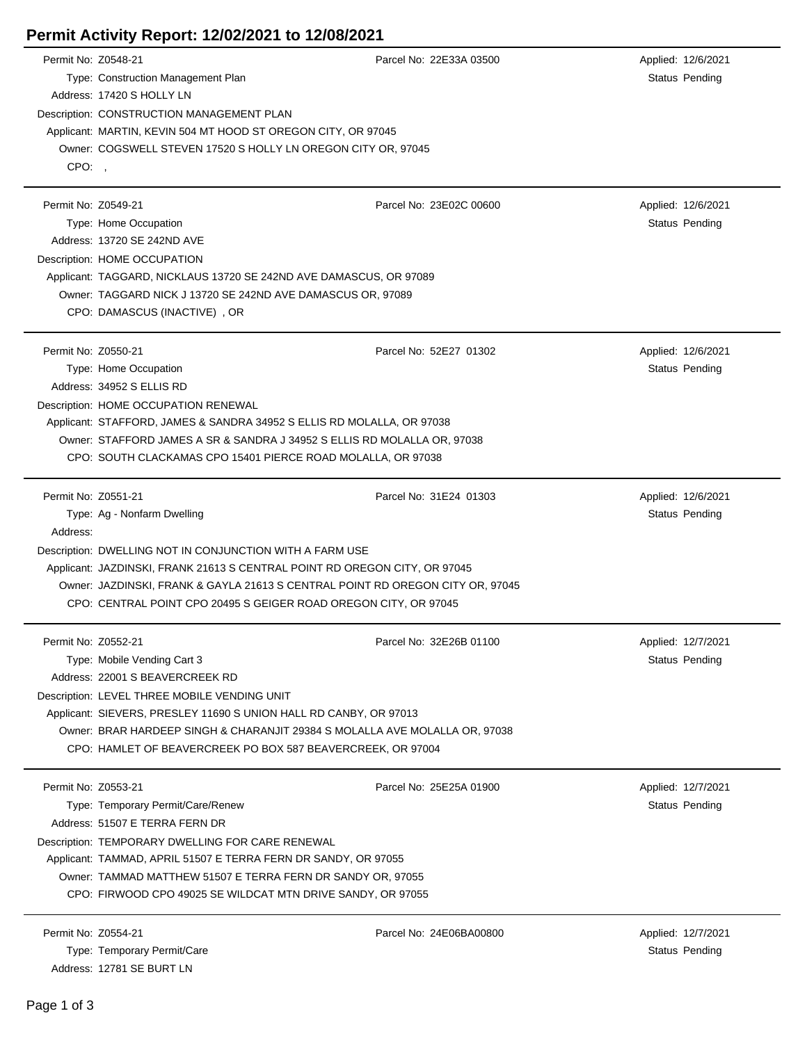## **Permit Activity Report: 12/02/2021 to 12/08/2021**

| Permit No: Z0548-21 |                                                                                | Parcel No: 22E33A 03500 | Applied: 12/6/2021    |  |  |  |
|---------------------|--------------------------------------------------------------------------------|-------------------------|-----------------------|--|--|--|
|                     | Type: Construction Management Plan                                             |                         | Status Pending        |  |  |  |
|                     | Address: 17420 S HOLLY LN                                                      |                         |                       |  |  |  |
|                     | Description: CONSTRUCTION MANAGEMENT PLAN                                      |                         |                       |  |  |  |
|                     | Applicant: MARTIN, KEVIN 504 MT HOOD ST OREGON CITY, OR 97045                  |                         |                       |  |  |  |
|                     | Owner: COGSWELL STEVEN 17520 S HOLLY LN OREGON CITY OR, 97045                  |                         |                       |  |  |  |
| CPO:,               |                                                                                |                         |                       |  |  |  |
| Permit No: Z0549-21 |                                                                                | Parcel No: 23E02C 00600 | Applied: 12/6/2021    |  |  |  |
|                     | Type: Home Occupation                                                          |                         | Status Pending        |  |  |  |
|                     | Address: 13720 SE 242ND AVE                                                    |                         |                       |  |  |  |
|                     | Description: HOME OCCUPATION                                                   |                         |                       |  |  |  |
|                     | Applicant: TAGGARD, NICKLAUS 13720 SE 242ND AVE DAMASCUS, OR 97089             |                         |                       |  |  |  |
|                     | Owner: TAGGARD NICK J 13720 SE 242ND AVE DAMASCUS OR, 97089                    |                         |                       |  |  |  |
|                     | CPO: DAMASCUS (INACTIVE), OR                                                   |                         |                       |  |  |  |
|                     |                                                                                |                         |                       |  |  |  |
| Permit No: Z0550-21 |                                                                                | Parcel No: 52E27 01302  | Applied: 12/6/2021    |  |  |  |
|                     | Type: Home Occupation                                                          |                         | Status Pending        |  |  |  |
|                     | Address: 34952 S ELLIS RD                                                      |                         |                       |  |  |  |
|                     | Description: HOME OCCUPATION RENEWAL                                           |                         |                       |  |  |  |
|                     | Applicant: STAFFORD, JAMES & SANDRA 34952 S ELLIS RD MOLALLA, OR 97038         |                         |                       |  |  |  |
|                     | Owner: STAFFORD JAMES A SR & SANDRA J 34952 S ELLIS RD MOLALLA OR, 97038       |                         |                       |  |  |  |
|                     | CPO: SOUTH CLACKAMAS CPO 15401 PIERCE ROAD MOLALLA, OR 97038                   |                         |                       |  |  |  |
| Permit No: Z0551-21 |                                                                                | Parcel No: 31E24 01303  | Applied: 12/6/2021    |  |  |  |
|                     | Type: Ag - Nonfarm Dwelling                                                    |                         | Status Pending        |  |  |  |
| Address:            |                                                                                |                         |                       |  |  |  |
|                     | Description: DWELLING NOT IN CONJUNCTION WITH A FARM USE                       |                         |                       |  |  |  |
|                     | Applicant: JAZDINSKI, FRANK 21613 S CENTRAL POINT RD OREGON CITY, OR 97045     |                         |                       |  |  |  |
|                     | Owner: JAZDINSKI, FRANK & GAYLA 21613 S CENTRAL POINT RD OREGON CITY OR, 97045 |                         |                       |  |  |  |
|                     | CPO: CENTRAL POINT CPO 20495 S GEIGER ROAD OREGON CITY, OR 97045               |                         |                       |  |  |  |
| Permit No: Z0552-21 |                                                                                | Parcel No: 32E26B 01100 | Applied: 12/7/2021    |  |  |  |
|                     | Type: Mobile Vending Cart 3                                                    |                         | Status Pending        |  |  |  |
|                     | Address: 22001 S BEAVERCREEK RD                                                |                         |                       |  |  |  |
|                     | Description: LEVEL THREE MOBILE VENDING UNIT                                   |                         |                       |  |  |  |
|                     | Applicant: SIEVERS, PRESLEY 11690 S UNION HALL RD CANBY, OR 97013              |                         |                       |  |  |  |
|                     | Owner: BRAR HARDEEP SINGH & CHARANJIT 29384 S MOLALLA AVE MOLALLA OR, 97038    |                         |                       |  |  |  |
|                     | CPO: HAMLET OF BEAVERCREEK PO BOX 587 BEAVERCREEK, OR 97004                    |                         |                       |  |  |  |
|                     |                                                                                |                         |                       |  |  |  |
| Permit No: Z0553-21 |                                                                                | Parcel No: 25E25A 01900 | Applied: 12/7/2021    |  |  |  |
|                     | Type: Temporary Permit/Care/Renew                                              |                         | Status Pending        |  |  |  |
|                     | Address: 51507 E TERRA FERN DR                                                 |                         |                       |  |  |  |
|                     | Description: TEMPORARY DWELLING FOR CARE RENEWAL                               |                         |                       |  |  |  |
|                     | Applicant: TAMMAD, APRIL 51507 E TERRA FERN DR SANDY, OR 97055                 |                         |                       |  |  |  |
|                     | Owner: TAMMAD MATTHEW 51507 E TERRA FERN DR SANDY OR, 97055                    |                         |                       |  |  |  |
|                     | CPO: FIRWOOD CPO 49025 SE WILDCAT MTN DRIVE SANDY, OR 97055                    |                         |                       |  |  |  |
| Permit No: Z0554-21 |                                                                                | Parcel No: 24E06BA00800 | Applied: 12/7/2021    |  |  |  |
|                     | Type: Temporary Permit/Care                                                    |                         | <b>Status Pending</b> |  |  |  |
|                     | Address: 12781 SE BURT LN                                                      |                         |                       |  |  |  |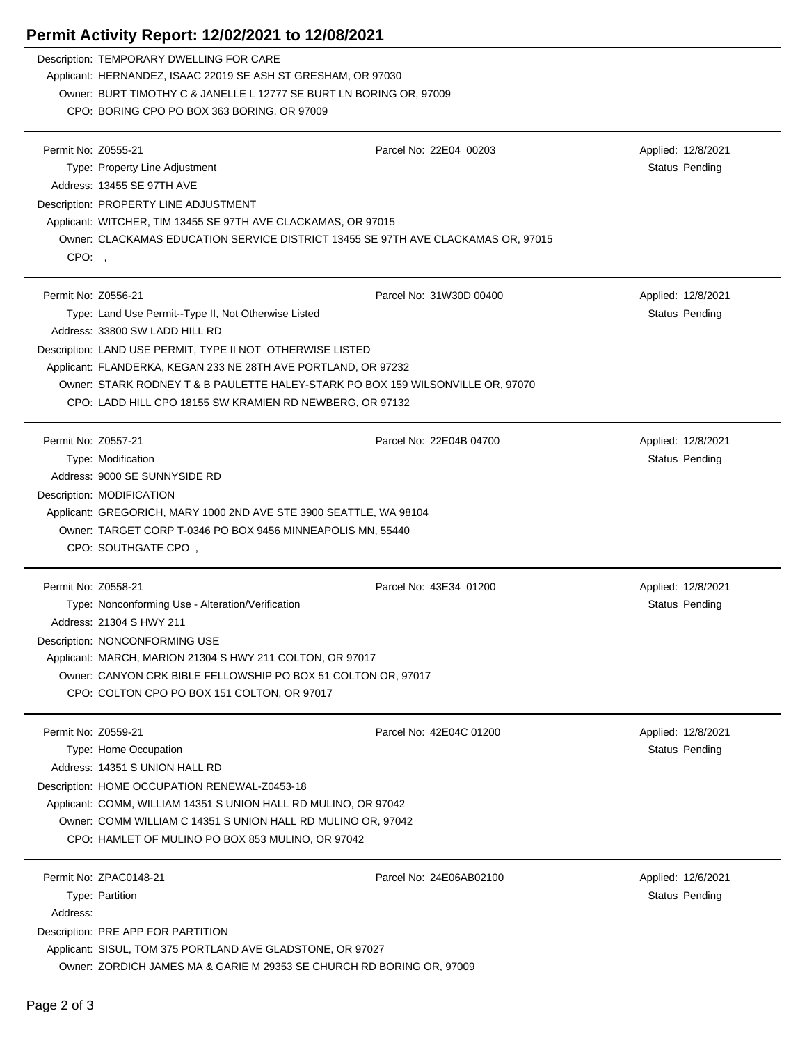## **Permit Activity Report: 12/02/2021 to 12/08/2021**

|                             | Description: TEMPORARY DWELLING FOR CARE<br>Applicant: HERNANDEZ, ISAAC 22019 SE ASH ST GRESHAM, OR 97030<br>Owner: BURT TIMOTHY C & JANELLE L 12777 SE BURT LN BORING OR, 97009<br>CPO: BORING CPO PO BOX 363 BORING, OR 97009                                                                                                                                       |                         |                                      |  |  |
|-----------------------------|-----------------------------------------------------------------------------------------------------------------------------------------------------------------------------------------------------------------------------------------------------------------------------------------------------------------------------------------------------------------------|-------------------------|--------------------------------------|--|--|
| Permit No: Z0555-21<br>CPO: | Type: Property Line Adjustment<br>Address: 13455 SE 97TH AVE<br>Description: PROPERTY LINE ADJUSTMENT<br>Applicant: WITCHER, TIM 13455 SE 97TH AVE CLACKAMAS, OR 97015<br>Owner: CLACKAMAS EDUCATION SERVICE DISTRICT 13455 SE 97TH AVE CLACKAMAS OR, 97015                                                                                                           | Parcel No: 22E04 00203  | Applied: 12/8/2021<br>Status Pending |  |  |
| Permit No: Z0556-21         | Type: Land Use Permit--Type II, Not Otherwise Listed<br>Address: 33800 SW LADD HILL RD<br>Description: LAND USE PERMIT, TYPE II NOT OTHERWISE LISTED<br>Applicant: FLANDERKA, KEGAN 233 NE 28TH AVE PORTLAND, OR 97232<br>Owner: STARK RODNEY T & B PAULETTE HALEY-STARK PO BOX 159 WILSONVILLE OR, 97070<br>CPO: LADD HILL CPO 18155 SW KRAMIEN RD NEWBERG, OR 97132 | Parcel No: 31W30D 00400 | Applied: 12/8/2021<br>Status Pending |  |  |
| Permit No: Z0557-21         | Type: Modification<br>Address: 9000 SE SUNNYSIDE RD<br>Description: MODIFICATION<br>Applicant: GREGORICH, MARY 1000 2ND AVE STE 3900 SEATTLE, WA 98104<br>Owner: TARGET CORP T-0346 PO BOX 9456 MINNEAPOLIS MN, 55440<br>CPO: SOUTHGATE CPO,                                                                                                                          | Parcel No: 22E04B 04700 | Applied: 12/8/2021<br>Status Pending |  |  |
| Permit No: Z0558-21         | Type: Nonconforming Use - Alteration/Verification<br>Address: 21304 S HWY 211<br>Description: NONCONFORMING USE<br>Applicant: MARCH, MARION 21304 S HWY 211 COLTON, OR 97017<br>Owner: CANYON CRK BIBLE FELLOWSHIP PO BOX 51 COLTON OR, 97017<br>CPO: COLTON CPO PO BOX 151 COLTON, OR 97017                                                                          | Parcel No: 43E34 01200  | Applied: 12/8/2021<br>Status Pending |  |  |
| Permit No: Z0559-21         | Type: Home Occupation<br>Address: 14351 S UNION HALL RD<br>Description: HOME OCCUPATION RENEWAL-Z0453-18<br>Applicant: COMM, WILLIAM 14351 S UNION HALL RD MULINO, OR 97042<br>Owner: COMM WILLIAM C 14351 S UNION HALL RD MULINO OR, 97042<br>CPO: HAMLET OF MULINO PO BOX 853 MULINO, OR 97042                                                                      | Parcel No: 42E04C 01200 | Applied: 12/8/2021<br>Status Pending |  |  |
| Address:                    | Permit No: ZPAC0148-21<br>Type: Partition<br>Description: PRE APP FOR PARTITION<br>Applicant: SISUL, TOM 375 PORTLAND AVE GLADSTONE, OR 97027<br>Owner: ZORDICH JAMES MA & GARIE M 29353 SE CHURCH RD BORING OR, 97009                                                                                                                                                | Parcel No: 24E06AB02100 | Applied: 12/6/2021<br>Status Pending |  |  |

 $\overline{\phantom{a}}$ 

J.